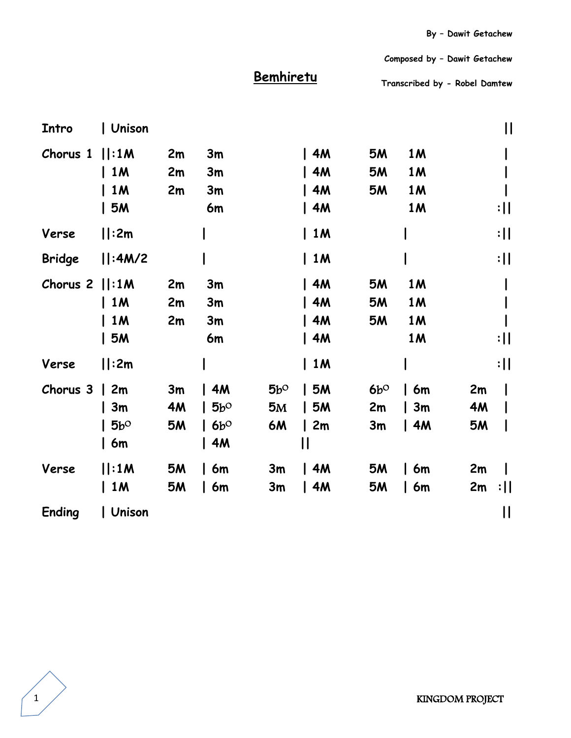**Composed by – Dawit Getachew**

## **Bemhiretu**

**Transcribed by - Robel Damtew** 

| Intro         | Unison       |           |               |              |             |              |           | $\mathsf{II}$   |
|---------------|--------------|-----------|---------------|--------------|-------------|--------------|-----------|-----------------|
| Chorus 1      | :1M          | 2m        | 3m            |              | 4M          | <b>5M</b>    | <b>1M</b> |                 |
|               | $\vert$ 1M   | 2m        | 3m            |              | $\sqrt{4M}$ | <b>5M</b>    | 1 M       |                 |
|               | $\vert$ 1M   | 2m        | 3m            |              | 4M          | <b>5M</b>    | <b>1M</b> |                 |
|               | 5M           |           | 6m            |              | 4M          |              | <b>1M</b> | :               |
| Verse         | :2m          |           |               |              | 1M          |              |           | $: \mathsf{II}$ |
| <b>Bridge</b> | :4M/2        |           |               |              | $\vert$ 1M  |              |           | $: \mathsf{II}$ |
| Chorus 2      | :1M          | 2m        | 3m            |              | 4M          | <b>5M</b>    | <b>1M</b> |                 |
|               | $\vert$ 1M   | 2m        | 3m            |              | 4M          | <b>5M</b>    | <b>1M</b> |                 |
|               | $\vert$ 1M   | 2m        | 3m            |              | $\sqrt{4M}$ | <b>5M</b>    | <b>1M</b> |                 |
|               | 5M           |           | 6m            |              | 4M          |              | <b>1M</b> | :               |
| Verse         | :2m          |           |               |              | 1M          |              |           | $: \mathsf{II}$ |
| Chorus 3      | $\vert$ 2m   | 3m        | 4M            | $5b^{\circ}$ | 5M          | $6b^{\circ}$ | 6m        | 2m              |
|               | 3m           | 4M        | 5 $b^{\rm O}$ | 5M           | 5M          | 2m           | 3m        | 4M              |
|               | $5b^{\circ}$ | <b>5M</b> | $6b^{\circ}$  | 6M           | 2m          | 3m           | 4M        | <b>5M</b>       |
|               | 6m           |           | 4M            |              | ll          |              |           |                 |
| Verse         | :1M          | <b>5M</b> | 6m            | 3m           | $\vert$ 4M  | <b>5M</b>    | 6m        | 2m              |
|               | $\vert$ 1M   | <b>5M</b> | 6m            | 3m           | 4M          | <b>5M</b>    | 6m        | 2m<br>:         |
| <b>Ending</b> | Unison       |           |               |              |             |              |           | $\mathsf{II}$   |